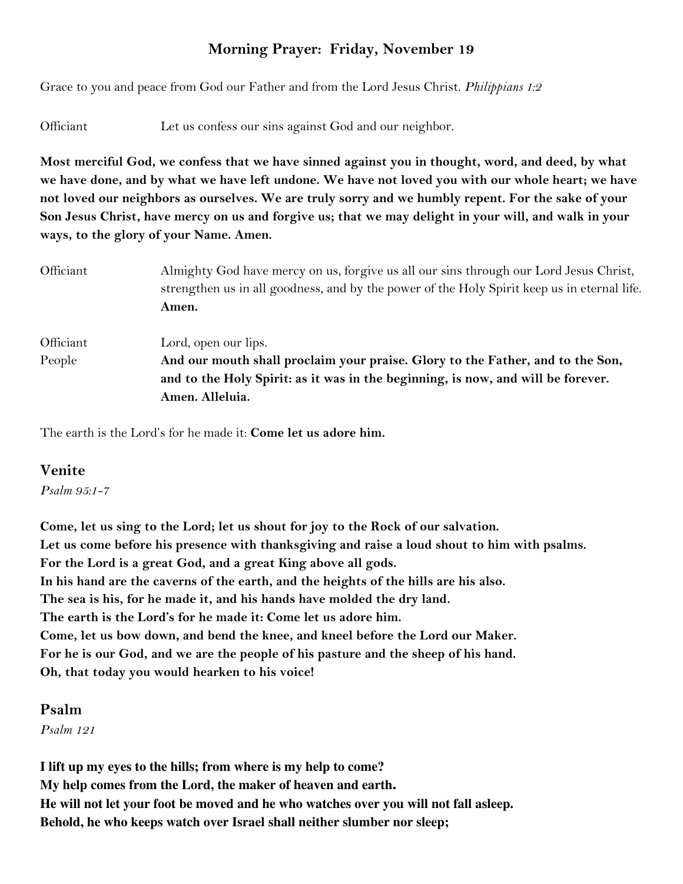# **Morning Prayer: Friday, November 19**

Grace to you and peace from God our Father and from the Lord Jesus Christ. *Philippians 1:2*

Officiant Let us confess our sins against God and our neighbor.

**Most merciful God, we confess that we have sinned against you in thought, word, and deed, by what we have done, and by what we have left undone. We have not loved you with our whole heart; we have not loved our neighbors as ourselves. We are truly sorry and we humbly repent. For the sake of your Son Jesus Christ, have mercy on us and forgive us; that we may delight in your will, and walk in your ways, to the glory of your Name. Amen.** 

Officiant Almighty God have mercy on us, forgive us all our sins through our Lord Jesus Christ, strengthen us in all goodness, and by the power of the Holy Spirit keep us in eternal life. **Amen.** Officiant Lord, open our lips. People **And our mouth shall proclaim your praise. Glory to the Father, and to the Son, and to the Holy Spirit: as it was in the beginning, is now, and will be forever. Amen. Alleluia.** 

The earth is the Lord's for he made it: **Come let us adore him.** 

#### **Venite**

*Psalm 95:1-7*

**Come, let us sing to the Lord; let us shout for joy to the Rock of our salvation. Let us come before his presence with thanksgiving and raise a loud shout to him with psalms. For the Lord is a great God, and a great King above all gods. In his hand are the caverns of the earth, and the heights of the hills are his also. The sea is his, for he made it, and his hands have molded the dry land. The earth is the Lord's for he made it: Come let us adore him. Come, let us bow down, and bend the knee, and kneel before the Lord our Maker. For he is our God, and we are the people of his pasture and the sheep of his hand. Oh, that today you would hearken to his voice!** 

#### **Psalm**

*Psalm 121*

**I lift up my eyes to the hills; from where is my help to come? My help comes from the Lord, the maker of heaven and earth***.*  **He will not let your foot be moved and he who watches over you will not fall asleep. Behold, he who keeps watch over Israel shall neither slumber nor sleep;**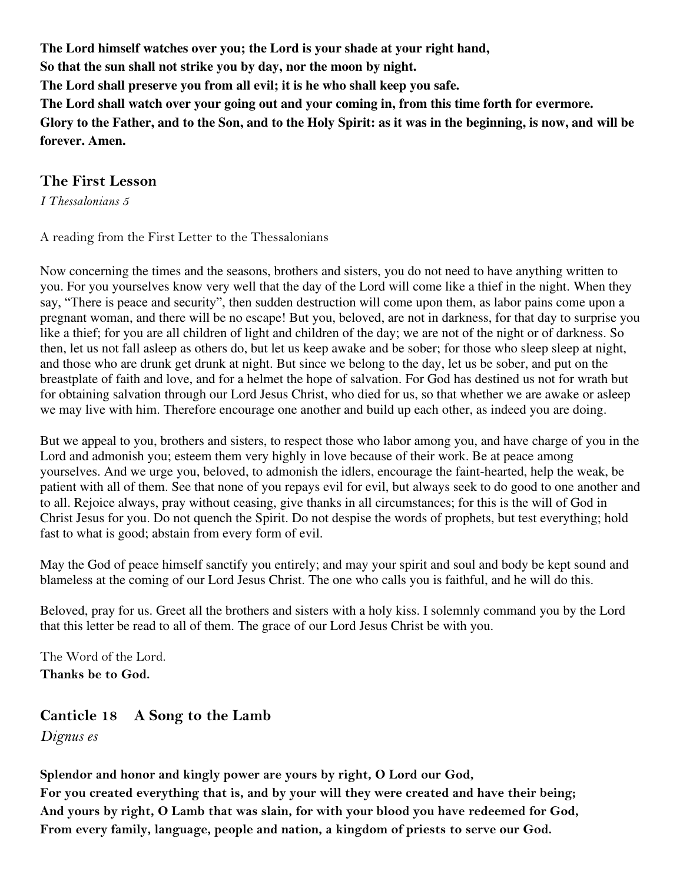**The Lord himself watches over you; the Lord is your shade at your right hand,** 

**So that the sun shall not strike you by day, nor the moon by night.** 

**The Lord shall preserve you from all evil; it is he who shall keep you safe.** 

**The Lord shall watch over your going out and your coming in, from this time forth for evermore.** 

**Glory to the Father, and to the Son, and to the Holy Spirit: as it was in the beginning, is now, and will be forever. Amen.** 

### **The First Lesson**

*I Thessalonians 5* 

A reading from the First Letter to the Thessalonians

Now concerning the times and the seasons, brothers and sisters, you do not need to have anything written to you. For you yourselves know very well that the day of the Lord will come like a thief in the night. When they say, "There is peace and security", then sudden destruction will come upon them, as labor pains come upon a pregnant woman, and there will be no escape! But you, beloved, are not in darkness, for that day to surprise you like a thief; for you are all children of light and children of the day; we are not of the night or of darkness. So then, let us not fall asleep as others do, but let us keep awake and be sober; for those who sleep sleep at night, and those who are drunk get drunk at night. But since we belong to the day, let us be sober, and put on the breastplate of faith and love, and for a helmet the hope of salvation. For God has destined us not for wrath but for obtaining salvation through our Lord Jesus Christ, who died for us, so that whether we are awake or asleep we may live with him. Therefore encourage one another and build up each other, as indeed you are doing.

But we appeal to you, brothers and sisters, to respect those who labor among you, and have charge of you in the Lord and admonish you; esteem them very highly in love because of their work. Be at peace among yourselves. And we urge you, beloved, to admonish the idlers, encourage the faint-hearted, help the weak, be patient with all of them. See that none of you repays evil for evil, but always seek to do good to one another and to all. Rejoice always, pray without ceasing, give thanks in all circumstances; for this is the will of God in Christ Jesus for you. Do not quench the Spirit. Do not despise the words of prophets, but test everything; hold fast to what is good; abstain from every form of evil.

May the God of peace himself sanctify you entirely; and may your spirit and soul and body be kept sound and blameless at the coming of our Lord Jesus Christ. The one who calls you is faithful, and he will do this.

Beloved, pray for us. Greet all the brothers and sisters with a holy kiss. I solemnly command you by the Lord that this letter be read to all of them. The grace of our Lord Jesus Christ be with you.

The Word of the Lord. **Thanks be to God.**

**Canticle 18 A Song to the Lamb**  *Dignus es*

**Splendor and honor and kingly power are yours by right, O Lord our God, For you created everything that is, and by your will they were created and have their being; And yours by right, O Lamb that was slain, for with your blood you have redeemed for God, From every family, language, people and nation, a kingdom of priests to serve our God.**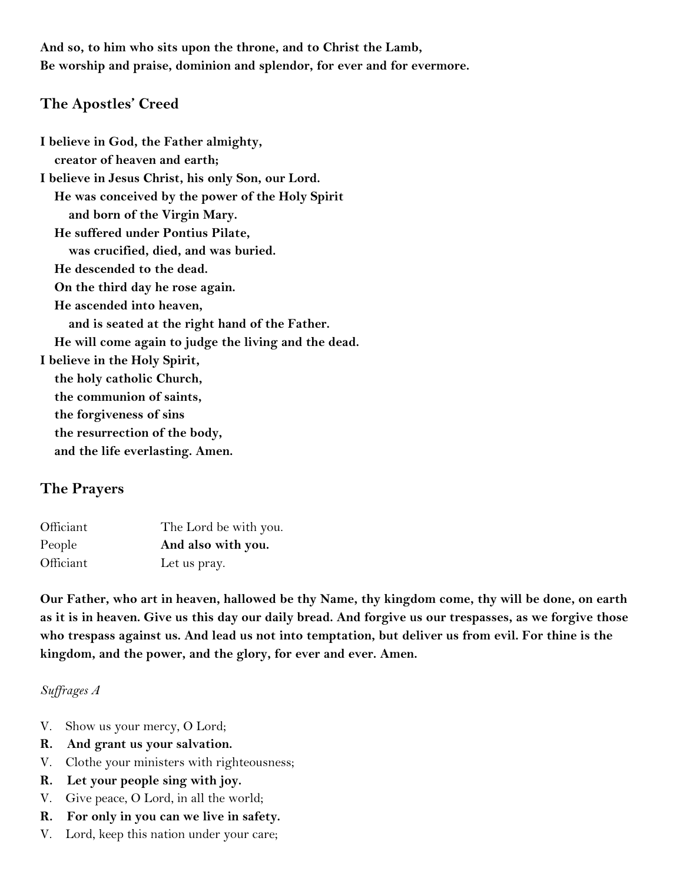**And so, to him who sits upon the throne, and to Christ the Lamb, Be worship and praise, dominion and splendor, for ever and for evermore.** 

#### **The Apostles' Creed**

**I believe in God, the Father almighty, creator of heaven and earth; I believe in Jesus Christ, his only Son, our Lord. He was conceived by the power of the Holy Spirit and born of the Virgin Mary. He suffered under Pontius Pilate, was crucified, died, and was buried. He descended to the dead. On the third day he rose again. He ascended into heaven, and is seated at the right hand of the Father. He will come again to judge the living and the dead. I believe in the Holy Spirit, the holy catholic Church, the communion of saints, the forgiveness of sins the resurrection of the body, and the life everlasting. Amen.** 

## **The Prayers**

| Officiant | The Lord be with you. |
|-----------|-----------------------|
| People    | And also with you.    |
| Officiant | Let us pray.          |

**Our Father, who art in heaven, hallowed be thy Name, thy kingdom come, thy will be done, on earth as it is in heaven. Give us this day our daily bread. And forgive us our trespasses, as we forgive those who trespass against us. And lead us not into temptation, but deliver us from evil. For thine is the kingdom, and the power, and the glory, for ever and ever. Amen.** 

#### *Suffrages A*

- V. Show us your mercy, O Lord;
- **R. And grant us your salvation.**
- V. Clothe your ministers with righteousness;
- **R. Let your people sing with joy.**
- V. Give peace, O Lord, in all the world;
- **R. For only in you can we live in safety.**
- V. Lord, keep this nation under your care;